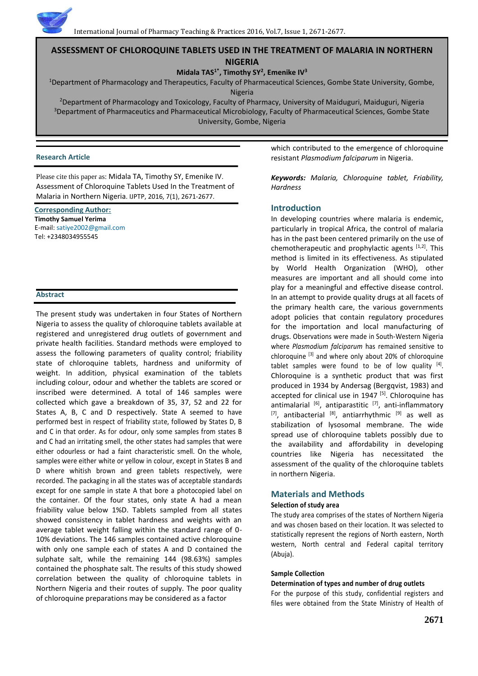# **ASSESSMENT OF CHLOROQUINE TABLETS USED IN THE TREATMENT OF MALARIA IN NORTHERN NIGERIA**

# **Midala TAS1\*, Timothy SY<sup>2</sup> , Emenike IV<sup>3</sup>**

<sup>1</sup>Department of Pharmacology and Therapeutics, Faculty of Pharmaceutical Sciences, Gombe State University, Gombe, Nigeria

<sup>2</sup>Department of Pharmacology and Toxicology, Faculty of Pharmacy, University of Maiduguri, Maiduguri, Nigeria <sup>3</sup>Department of Pharmaceutics and Pharmaceutical Microbiology, Faculty of Pharmaceutical Sciences, Gombe State University, Gombe, Nigeria

## **Research Article**

Please cite this paper as: Midala TA, Timothy SY, Emenike IV. Assessment of Chloroquine Tablets Used In the Treatment of Malaria in Northern Nigeria. IJPTP, 2016, 7(1), 2671-2677.

**Corresponding Author: Timothy Samuel Yerima** E-mail[: satiye2002@gmail.com](mailto:satiye2002@gmail.com) Tel: +2348034955545

## **Abstract**

The present study was undertaken in four States of Northern Nigeria to assess the quality of chloroquine tablets available at registered and unregistered drug outlets of government and private health facilities. Standard methods were employed to assess the following parameters of quality control; friability state of chloroquine tablets, hardness and uniformity of weight. In addition, physical examination of the tablets including colour, odour and whether the tablets are scored or inscribed were determined. A total of 146 samples were collected which gave a breakdown of 35, 37, 52 and 22 for States A, B, C and D respectively. State A seemed to have performed best in respect of friability state, followed by States D, B and C in that order. As for odour, only some samples from states B and C had an irritating smell, the other states had samples that were either odourless or had a faint characteristic smell. On the whole, samples were either white or yellow in colour, except in States B and D where whitish brown and green tablets respectively, were recorded. The packaging in all the states was of acceptable standards except for one sample in state A that bore a photocopied label on the container. Of the four states, only state A had a mean friability value below 1%D. Tablets sampled from all states showed consistency in tablet hardness and weights with an average tablet weight falling within the standard range of 0- 10% deviations. The 146 samples contained active chloroquine with only one sample each of states A and D contained the sulphate salt, while the remaining 144 (98.63%) samples contained the phosphate salt. The results of this study showed correlation between the quality of chloroquine tablets in Northern Nigeria and their routes of supply. The poor quality of chloroquine preparations may be considered as a factor

which contributed to the emergence of chloroquine resistant *Plasmodium falciparum* in Nigeria.

*Keywords: Malaria, Chloroquine tablet, Friability, Hardness*

# **Introduction**

In developing countries where malaria is endemic, particularly in tropical Africa, the control of malaria has in the past been centered primarily on the use of chemotherapeutic and prophylactic agents  $[1,2]$ . This method is limited in its effectiveness. As stipulated by World Health Organization (WHO), other measures are important and all should come into play for a meaningful and effective disease control. In an attempt to provide quality drugs at all facets of the primary health care, the various governments adopt policies that contain regulatory procedures for the importation and local manufacturing of drugs. Observations were made in South-Western Nigeria where *Plasmodium falciparum* has remained sensitive to chloroquine [3] and where only about 20% of chloroquine tablet samples were found to be of low quality  $[4]$ . Chloroquine is a synthetic product that was first produced in 1934 by Andersag (Bergqvist, 1983) and accepted for clinical use in 1947 [5]. Chloroquine has antimalarial  $[6]$ , antiparastitic  $[7]$ , anti-inflammatory  $[7]$ , antibacterial  $[8]$ , antiarrhythmic  $[9]$  as well as stabilization of lysosomal membrane. The wide spread use of chloroquine tablets possibly due to the availability and affordability in developing countries like Nigeria has necessitated the assessment of the quality of the chloroquine tablets in northern Nigeria.

# **Materials and Methods**

# **Selection of study area**

The study area comprises of the states of Northern Nigeria and was chosen based on their location. It was selected to statistically represent the regions of North eastern, North western, North central and Federal capital territory (Abuja).

# **Sample Collection**

# **Determination of types and number of drug outlets**

For the purpose of this study, confidential registers and files were obtained from the State Ministry of Health of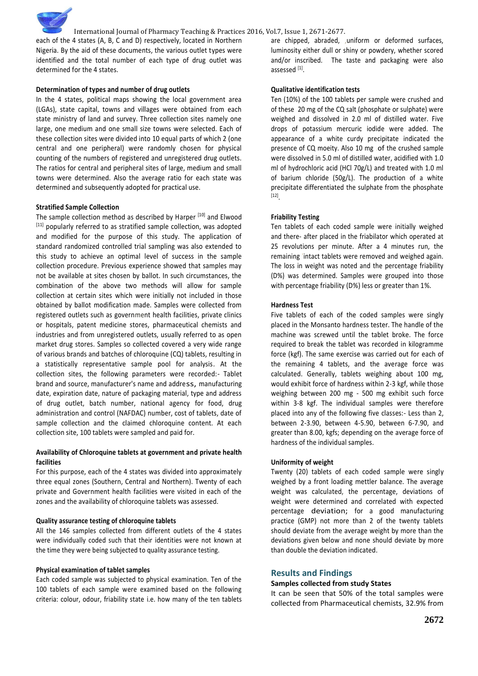each of the 4 states (A, B, C and D) respectively, located in Northern Nigeria. By the aid of these documents, the various outlet types were identified and the total number of each type of drug outlet was determined for the 4 states.

## **Determination of types and number of drug outlets**

In the 4 states, political maps showing the local government area (LGAs), state capital, towns and villages were obtained from each state ministry of land and survey. Three collection sites namely one large, one medium and one small size towns were selected. Each of these collection sites were divided into 10 equal parts of which 2 (one central and one peripheral) were randomly chosen for physical counting of the numbers of registered and unregistered drug outlets. The ratios for central and peripheral sites of large, medium and small towns were determined. Also the average ratio for each state was determined and subsequently adopted for practical use.

#### **Stratified Sample Collection**

The sample collection method as described by Harper [10] and Elwood [11] popularly referred to as stratified sample collection, was adopted and modified for the purpose of this study. The application of standard randomized controlled trial sampling was also extended to this study to achieve an optimal level of success in the sample collection procedure. Previous experience showed that samples may not be available at sites chosen by ballot. In such circumstances, the combination of the above two methods will allow for sample collection at certain sites which were initially not included in those obtained by ballot modification made. Samples were collected from registered outlets such as government health facilities, private clinics or hospitals, patent medicine stores, pharmaceutical chemists and industries and from unregistered outlets, usually referred to as open market drug stores. Samples so collected covered a very wide range of various brands and batches of chloroquine (CQ) tablets, resulting in a statistically representative sample pool for analysis. At the collection sites, the following parameters were recorded:- Tablet brand and source, manufacturer's name and address, manufacturing date, expiration date, nature of packaging material, type and address of drug outlet, batch number, national agency for food, drug administration and control (NAFDAC) number, cost of tablets, date of sample collection and the claimed chloroquine content. At each collection site, 100 tablets were sampled and paid for.

# **Availability of Chloroquine tablets at government and private health facilities**

For this purpose, each of the 4 states was divided into approximately three equal zones (Southern, Central and Northern). Twenty of each private and Government health facilities were visited in each of the zones and the availability of chloroquine tablets was assessed.

#### **Quality assurance testing of chloroquine tablets**

All the 146 samples collected from different outlets of the 4 states were individually coded such that their identities were not known at the time they were being subjected to quality assurance testing.

#### **Physical examination of tablet samples**

Each coded sample was subjected to physical examination. Ten of the 100 tablets of each sample were examined based on the following criteria: colour, odour, friability state i.e. how many of the ten tablets

are chipped, abraded, ,uniform or deformed surfaces, luminosity either dull or shiny or powdery, whether scored and/or inscribed. The taste and packaging were also assessed [1].

#### **Qualitative identification tests**

Ten (10%) of the 100 tablets per sample were crushed and of these 20 mg of the CQ salt (phosphate or sulphate) were weighed and dissolved in 2.0 ml of distilled water. Five drops of potassium mercuric iodide were added. The appearance of a white curdy precipitate indicated the presence of CQ moeity. Also 10 mg .of the crushed sample were dissolved in 5.0 ml of distilled water, acidified with 1.0 ml of hydrochloric acid (HCl 70g/L) and treated with 1.0 ml of barium chloride (50g/L). The production of a white precipitate differentiated the sulphate from the phosphate [12] .

#### **Friability Testing**

Ten tablets of each coded sample were initially weighed and there- after placed in the friabilator which operated at 25 revolutions per minute. After a 4 minutes run, the remaining 'intact tablets were removed and weighed again. The loss in weight was noted and the percentage friability (D%) was determined. Samples were grouped into those with percentage friability (D%) less or greater than 1%.

#### **Hardness Test**

Five tablets of each of the coded samples were singly placed in the Monsanto hardness tester. The handle of the machine was screwed until the tablet broke. The force required to break the tablet was recorded in kilogramme force (kgf). The same exercise was carried out for each of the remaining 4 tablets, and the average force was calculated. Generally, tablets weighing about 100 mg, would exhibit force of hardness within 2-3 kgf, while those weighing between 200 mg - 500 mg exhibit such force within 3-8 kgf. The individual samples were therefore placed into any of the following five classes:- Less than 2, between 2-3.90, between 4-5.90, between 6-7.90, and greater than 8.00, kgfs; depending on the average force of hardness of the individual samples.

#### **Uniformity of weight**

Twenty (20) tablets of each coded sample were singly weighed by a front loading mettler balance. The average weight was calculated, the percentage, deviations of weight were determined and correlated with expected percentage deviation; for a good manufacturing practice (GMP) not more than 2 of the twenty tablets should deviate from the average weight by more than the deviations given below and none should deviate by more than double the deviation indicated.

## **Results and Findings**

## **Samples collected from study States**

It can be seen that 50% of the total samples were collected from Pharmaceutical chemists, 32.9% from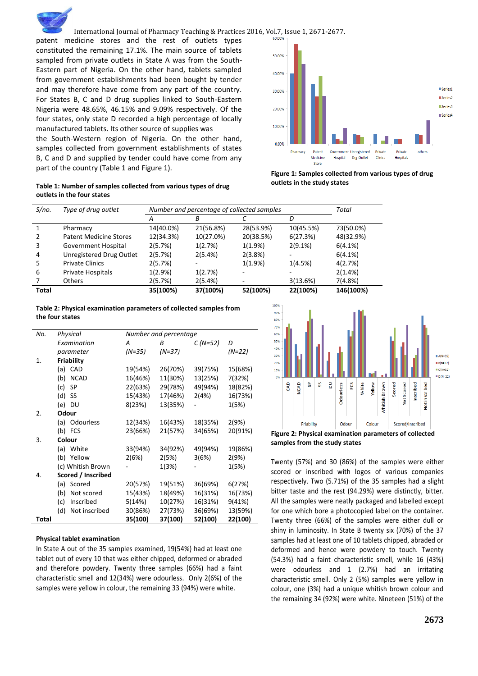patent medicine stores and the rest of outlets types constituted the remaining 17.1%. The main source of tablets sampled from private outlets in State A was from the South-Eastern part of Nigeria. On the other hand, tablets sampled from government establishments had been bought by tender and may therefore have come from any part of the country. For States B, C and D drug supplies linked to South-Eastern Nigeria were 48.65%, 46.15% and 9.09% respectively. Of the four states, only state D recorded a high percentage of locally manufactured tablets. Its other source of supplies was the South-Western region of Nigeria. On the other hand, samples collected from government establishments of states B, C and D and supplied by tender could have come from any part of the country (Table 1 and Figure 1).



**Table 1: Number of samples collected from various types of drug outlets in the four states**

**Figure 1: Samples collected from various types of drug outlets in the study states**

| S/no. | Type of drug outlet           | Number and percentage of collected samples |           |           | Total     |           |
|-------|-------------------------------|--------------------------------------------|-----------|-----------|-----------|-----------|
|       |                               | A                                          | Β         |           | D         |           |
|       | Pharmacy                      | 14(40.0%)                                  | 21(56.8%) | 28(53.9%) | 10(45.5%) | 73(50.0%) |
| 2     | <b>Patent Medicine Stores</b> | 12(34.3%)                                  | 10(27.0%) | 20(38.5%) | 6(27.3%)  | 48(32.9%) |
| 3     | Government Hospital           | 2(5.7%)                                    | 1(2.7%)   | 1(1.9%)   | 2(9.1%)   | 6(4.1%)   |
| 4     | Unregistered Drug Outlet      | 2(5.7%)                                    | 2(5.4%)   | 2(3.8%)   |           | 6(4.1%)   |
| 5     | <b>Private Clinics</b>        | 2(5.7%)                                    |           | 1(1.9%)   | 1(4.5%)   | 4(2.7%)   |
| 6     | Private Hospitals             | 1(2.9%)                                    | 1(2.7%)   |           |           | 2(1.4%)   |
|       | <b>Others</b>                 | 2(5.7%)                                    | 2(5.4%)   |           | 3(13.6%)  | 7(4.8%)   |
| Total |                               | 35(100%)                                   | 37(100%)  | 52(100%)  | 22(100%)  | 146(100%) |

## **Table 2: Physical examination parameters of collected samples from the four states**

| No.   | Physical           |                   | Number and percentage |          |           |         |  |
|-------|--------------------|-------------------|-----------------------|----------|-----------|---------|--|
|       |                    | Examination       | А                     | В        | $C(N=52)$ | D       |  |
|       |                    | parameter         | (N=35)                | $(N=37)$ |           | (N=22)  |  |
| 1.    | <b>Friability</b>  |                   |                       |          |           |         |  |
|       |                    | (a) CAD           | 19(54%)               | 26(70%)  | 39(75%)   | 15(68%) |  |
|       | (b)                | <b>NCAD</b>       | 16(46%)               | 11(30%)  | 13(25%)   | 7(32%)  |  |
|       | (c)                | SP                | 22(63%)               | 29(78%)  | 49(94%)   | 18(82%) |  |
|       | (d)                | SS                | 15(43%)               | 17(46%)  | 2(4%)     | 16(73%) |  |
|       | (e)                | DU                | 8(23%)                | 13(35%)  |           | 1(5%)   |  |
| 2.    |                    | Odour             |                       |          |           |         |  |
|       |                    | (a) Odourless     | 12(34%)               | 16(43%)  | 18(35%)   | 2(9%)   |  |
|       |                    | $(b)$ FCS         | 23(66%)               | 21(57%)  | 34(65%)   | 20(91%) |  |
| 3.    | Colour             |                   |                       |          |           |         |  |
|       |                    | (a) White         | 33(94%)               | 34(92%)  | 49(94%)   | 19(86%) |  |
|       |                    | (b) Yellow        | 2(6%)                 | 2(5%)    | 3(6%)     | 2(9%)   |  |
|       |                    | (c) Whitish Brown |                       | 1(3%)    |           | 1(5%)   |  |
| 4.    | Scored / Inscribed |                   |                       |          |           |         |  |
|       |                    | (a) Scored        | 20(57%)               | 19(51%)  | 36(69%)   | 6(27%)  |  |
|       | (b)                | Not scored        | 15(43%)               | 18(49%)  | 16(31%)   | 16(73%) |  |
|       | (c)                | Inscribed         | 5(14%)                | 10(27%)  | 16(31%)   | 9(41%)  |  |
|       | (d)                | Not inscribed     | 30(86%)               | 27(73%)  | 36(69%)   | 13(59%) |  |
| Total |                    |                   | 35(100)               | 37(100)  | 52(100)   | 22(100) |  |

## **Physical tablet examination**

In State A out of the 35 samples examined, 19(54%) had at least one tablet out of every 10 that was either chipped, deformed or abraded and therefore powdery. Twenty three samples (66%) had a faint characteristic smell and 12(34%) were odourless. Only 2(6%) of the samples were yellow in colour, the remaining 33 (94%) were white.



**samples from the study states**

Twenty (57%) and 30 (86%) of the samples were either scored or inscribed with logos of various companies respectively. Two (5.71%) of the 35 samples had a slight bitter taste and the rest (94.29%) were distinctly, bitter. All the samples were neatly packaged and labelled except for one which bore a photocopied label on the container. Twenty three (66%) of the samples were either dull or shiny in luminosity. In State B twenty six (70%) of the 37 samples had at least one of 10 tablets chipped, abraded or deformed and hence were powdery to touch. Twenty (54.3%) had a faint characteristic smell, while 16 (43%) were odourless and 1 (2.7%) had an irritating characteristic smell. Only 2 (5%) samples were yellow in colour, one (3%) had a unique whitish brown colour and the remaining 34 (92%) were white. Nineteen (51%) of the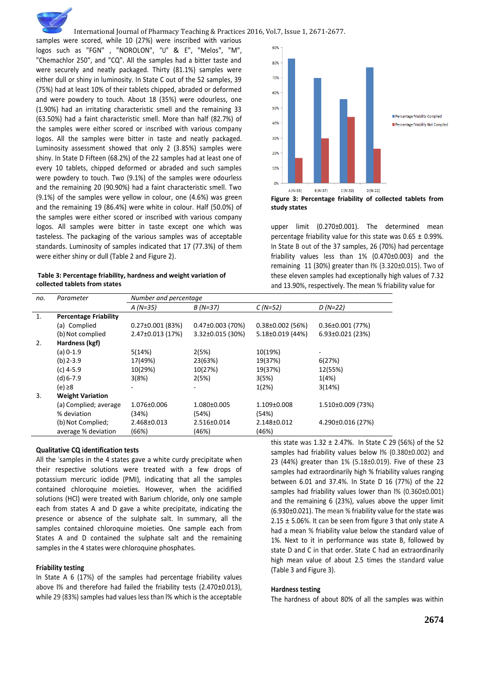samples were scored, while 10 (27%) were inscribed with various logos such as "FGN" , "NOROLON", "U" & E", "Melos", "M", "Chemachlor 250", and "CQ". All the samples had a bitter taste and were securely and neatly packaged. Thirty (81.1%) samples were either dull or shiny in luminosity. In State C out of the 52 samples, 39 (75%) had at least 10% of their tablets chipped, abraded or deformed and were powdery to touch. About 18 (35%) were odourless, one (1.90%) had an irritating characteristic smell and the remaining 33 (63.50%) had a faint characteristic smell. More than half (82.7%) of the samples were either scored or inscribed with various company logos. All the samples were bitter in taste and neatly packaged. Luminosity assessment showed that only 2 (3.85%) samples were shiny. In State D Fifteen (68.2%) of the 22 samples had at least one of every 10 tablets, chipped deformed or abraded and such samples were powdery to touch. Two (9.1%) of the samples were odourless and the remaining 20 (90.90%) had a faint characteristic smell. Two (9.1%) of the samples were yellow in colour, one (4.6%) was green and the remaining 19 (86.4%) were white in colour. Half (50.0%) of the samples were either scored or inscribed with various company logos. All samples were bitter in taste except one which was tasteless. The packaging of the various samples was of acceptable standards. Luminosity of samples indicated that 17 (77.3%) of them were either shiny or dull (Table 2 and Figure 2).

| Table 3: Percentage friability, hardness and weight variation of |
|------------------------------------------------------------------|
| collected tablets from states                                    |



**Figure 3: Percentage friability of collected tablets from study states**

upper limit (0.270±0.001). The determined mean percentage friability value for this state was  $0.65 \pm 0.99\%$ . In State B out of the 37 samples, 26 (70%) had percentage friability values less than 1% (0.470±0.003) and the remaining -11 (30%) greater than l% (3.320±0.015). Two of these eleven samples had exceptionally high values of 7.32 and 13.90%, respectively. The mean % friability value for

| no.            | Parameter                    | Number and percentage |                      |                        |                        |
|----------------|------------------------------|-----------------------|----------------------|------------------------|------------------------|
|                |                              | $A(N=35)$             | $B(N=37)$            | $C(N=52)$              | $D(N=22)$              |
| $\mathbf{1}$ . | <b>Percentage Friability</b> |                       |                      |                        |                        |
|                | (a) Complied                 | $0.27\pm0.001$ (83%)  | $0.47\pm0.003$ (70%) | $0.38\pm0.002$ (56%)   | $0.36 \pm 0.001$ (77%) |
|                | (b) Not complied             | 2.47±0.013 (17%)      | $3.32\pm0.015$ (30%) | $5.18 \pm 0.019$ (44%) | $6.93\pm0.021$ (23%)   |
| 2.             | Hardness (kgf)               |                       |                      |                        |                        |
|                | $(a)$ 0-1.9                  | 5(14%)                | 2(5%)                | 10(19%)                |                        |
|                | $(b)$ 2-3.9                  | 17(49%)               | 23(63%)              | 19(37%)                | 6(27%)                 |
|                | $(c)$ 4-5.9                  | 10(29%)               | 10(27%)              | 19(37%)                | 12(55%)                |
|                | $(d) 6 - 7.9$                | 3(8%)                 | 2(5%)                | 3(5%)                  | 1(4%)                  |
|                | $(e) \ge 8$                  |                       |                      | 1(2%)                  | 3(14%)                 |
| 3.             | <b>Weight Variation</b>      |                       |                      |                        |                        |
|                | (a) Complied; average        | 1.076±0.006           | $1.080 \pm 0.005$    | $1.109 \pm 0.008$      | $1.510\pm0.009$ (73%)  |
|                | % deviation                  | (34%)                 | (54%)                | (54%)                  |                        |
|                | (b) Not Complied;            | 2.468±0.013           | 2.516±0.014          | 2.148±0.012            | 4.290±0.016 (27%)      |
|                | average % deviation          | (66%)                 | (46%)                | (46%)                  |                        |

#### **Qualitative CQ identification tests**

All the 'samples in the 4 states gave a white curdy precipitate when their respective solutions were treated with a few drops of potassium mercuric iodide (PMI), indicating that all the samples contained chloroquine moieties. However, when the acidified solutions (HCl) were treated with Barium chloride, only one sample each from states A and D gave a white precipitate, indicating the presence or absence of the sulphate salt. In summary, all the samples contained chloroquine moieties. One sample each from States A and D contained the sulphate salt and the remaining samples in the 4 states were chloroquine phosphates.

## **Friability testing**

In State A 6 (17%) of the samples had percentage friability values above l% and therefore had failed the friability tests (2.470±0.013), while 29 (83%) samples had values less than l% which is the acceptable

this state was  $1.32 \pm 2.47$ %. In State C 29 (56%) of the 52 samples had friability values below l% (0.380±0.002) and 23 (44%) greater than 1% (5.18±0.019). Five of these 23 samples had extraordinarily high % friability values ranging between 6.01 and 37.4%. In State D 16 (77%) of the 22 samples had friability values lower than l% (0.360±0.001) and the remaining 6 (23%), values above the upper limit (6.930±0.021). The mean % friability value for the state was 2.15  $\pm$  5.06%. It can be seen from figure 3 that only state A had a mean % friability value below the standard value of 1%. Next to it in performance was state B, followed by state D and C in that order. State C had an extraordinarily high mean value of about 2.5 times the standard value (Table 3 and Figure 3).

## **Hardness testing**

The hardness of about 80% of all the samples was within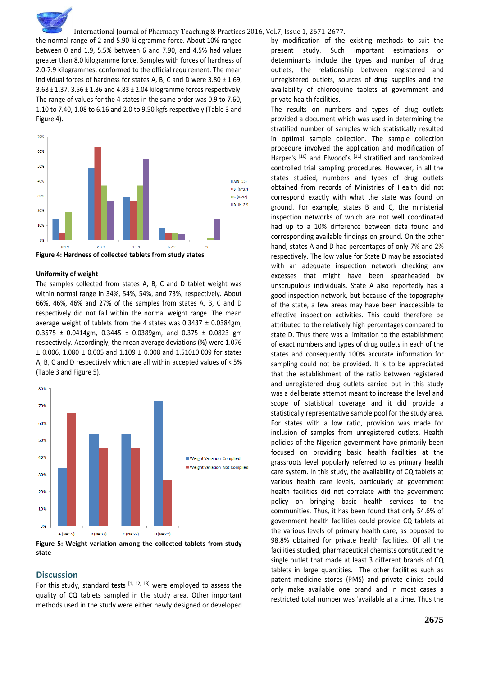the normal range of 2 and 5.90 kilogramme force. About 10% ranged between 0 and 1.9, 5.5% between 6 and 7.90, and 4.5% had values greater than 8.0 kilogramme force. Samples with forces of hardness of 2.0-7.9 kilogrammes, conformed to the official requirement. The mean individual forces of hardness for states A, B, C and D were 3.80 ± 1.69, 3.68 ± 1.37, 3.56 ± 1.86 and 4.83 ± 2.04 kilogramme forces respectively. The range of values for the 4 states in the same order was 0.9 to 7.60, 1.10 to 7.40, 1.08 to 6.16 and 2.0 to 9.50 kgfs respectively (Table 3 and Figure 4).



#### **Uniformity of weight**

The samples collected from states A, B, C and D tablet weight was within normal range in 34%, 54%, 54%, and 73%, respectively. About 66%, 46%, 46% and 27% of the samples from states A, B, C and D respectively did not fall within the normal weight range. The mean average weight of tablets from the 4 states was 0.3437 ± 0.0384gm, 0.3575 ± 0.0414gm, 0.3445 ± 0.0389gm, and 0.375 ± 0.0823 gm respectively. Accordingly, the mean average deviations (%) were 1.076 ± 0.006, 1.080 ± 0.005 and 1.109 ± 0.008 and 1.510±0.009 for states A, B, C and D respectively which are all within accepted values of < 5% (Table 3 and Figure 5).



**Figure 5: Weight variation among the collected tablets from study state**

## **Discussion**

For this study, standard tests  $[1, 12, 13]$  were employed to assess the quality of CQ tablets sampled in the study area. Other important methods used in the study were either newly designed or developed

by modification of the existing methods to suit the present study. Such important estimations or determinants include the types and number of drug outlets, the relationship between registered and unregistered outlets, sources of drug supplies and the availability of chloroquine tablets at government and private health facilities.

The results on numbers and types of drug outlets provided a document which was used in determining the stratified number of samples which statistically resulted in optimal sample collection. The sample collection procedure involved the application and modification of Harper's [10] and Elwood's [11] stratified and randomized controlled trial sampling procedures. However, in all the states studied, numbers and types of drug outlets obtained from records of Ministries of Health did not correspond exactly with what the state was found on ground. For example, states B and C, the ministerial inspection networks of which are not well coordinated had up to a 10% difference between data found and corresponding available findings on ground. On the other hand, states A and D had percentages of only 7% and 2% respectively. The low value for State D may be associated with an adequate inspection network checking any excesses that might have been spearheaded by unscrupulous individuals. State A also reportedly has a good inspection network, but because of the topography of the state, a few areas may have been inaccessible to effective inspection activities. This could therefore be attributed to the relatively high percentages compared to state D. Thus there was a limitation to the establishment of exact numbers and types of drug outlets in each of the states and consequently 100% accurate information for sampling could not be provided. It is to be appreciated that the establishment of the ratio between registered and unregistered drug outlets carried out in this study was a deliberate attempt meant to increase the level and scope of statistical coverage and it did provide a statistically representative sample pool for the study area. For states with a low ratio, provision was made for inclusion of samples from unregistered outlets. Health policies of the Nigerian government have primarily been focused on providing basic health facilities at the grassroots level popularly referred to as primary health care system. In this study, the availability of CQ tablets at various health care levels, particularly at government health facilities did not correlate with the government policy on bringing basic health services to the communities. Thus, it has been found that only 54.6% of government health facilities could provide CQ tablets at the various levels of primary health care, as opposed to 98.8% obtained for private health facilities. Of all the facilities studied, pharmaceutical chemists constituted the single outlet that made at least 3 different brands of CQ tablets in large quantities. The other facilities such as patent medicine stores (PMS) and private clinics could only make available one brand and in most cases a restricted total number was 'available at a time. Thus the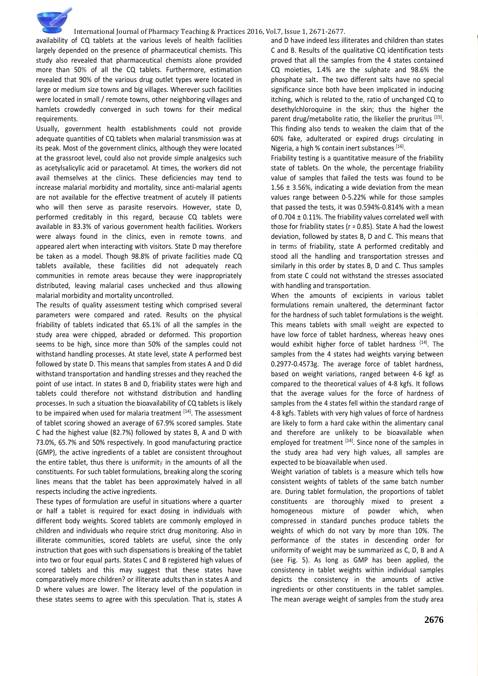availability of CQ tablets at the various levels of health facilities largely depended on the presence of pharmaceutical chemists. This study also revealed that pharmaceutical chemists alone provided more than 50% of all the CQ tablets. Furthermore, estimation revealed that 90% of the various drug outlet types were located in large or medium size towns and big villages. Wherever such facilities were located in small / remote towns, other neighboring villages and hamlets crowdedly converged in such towns for their medical requirements.

Usually, government health establishments could not provide adequate quantities of CQ tablets when malarial transmission was at its peak. Most of the government clinics, although they were located at the grassroot level, could also not provide simple analgesics such as acetylsalicylic acid or paracetamol. At times, the workers did not avail themselves at the clinics. These deficiencies may tend to increase malarial morbidity and mortality, since anti-malarial agents are not available for the effective treatment of acutely ill patients who will then serve as parasite reservoirs. However, state D, performed creditably in this regard, because CQ tablets were available in 83.3% of various government health facilities. Workers were always found in the clinics, even in remote towns, and appeared alert when interacting with visitors. State D may therefore be taken as a model. Though 98.8% of private facilities made CQ tablets available, these facilities did not adequately reach communities in remote areas because they were inappropriately distributed, leaving malarial cases unchecked and thus allowing malarial morbidity and mortality uncontrolled.

The results of quality assessment testing which comprised several parameters were compared and rated. Results on the physical friability of tablets indicated that 65.1% of all the samples in the study area were chipped, abraded or deformed. This proportion seems to be high, since more than 50% of the samples could not withstand handling processes. At state level, state A performed best followed by state D. This means that samples from states A and D did withstand transportation and handling stresses and they reached the point of use intact. In states B and D, friability states were high and tablets could therefore not withstand distribution and handling processes. In such a situation the bioavailability of CQ tablets is likely to be impaired when used for malaria treatment <sup>[14]</sup>. The assessment of tablet scoring showed an average of 67.9% scored samples. State C had the highest value (82.7%) followed by states B, A and D with 73.0%, 65.7% and 50% respectively. In good manufacturing practice (GMP), the active ingredients of a tablet are consistent throughout the entire tablet, thus there is uniformity in the amounts of all the constituents. For such tablet formulations, breaking along the scoring lines means that the tablet has been approximately halved in all respects including the active ingredients.

These types of formulation are useful in situations where a quarter or half a tablet is required for exact dosing in individuals with different body weights. Scored tablets are commonly employed in children and individuals who require strict drug monitoring. Also in illiterate communities, scored tablets are useful, since the only instruction that goes with such dispensations is breaking of the tablet into two or four equal parts. States C and B registered high values of scored tablets and this may suggest that these states have comparatively more children? or illiterate adults than in states A and D where values are lower. The literacy level of the population in these states seems to agree with this speculation. That is, states A

and D have indeed less illiterates and children than states C and B. Results of the qualitative CQ identification tests proved that all the samples from the 4 states contained CQ moieties, 1.4% are the sulphate and 98.6% the phosphate salt. The two different salts have no special significance since both have been implicated in inducing itching, which is related to the, ratio of unchanged CQ to desethylchloroquine in the skin; thus the higher the parent drug/metabolite ratio, the likelier the pruritus [15]. This finding also tends to weaken the claim that of the 60% fake, adulterated or expired drugs circulating in Nigeria, a high % contain inert substances [16].

Friability testing is a quantitative measure of the friability state of tablets. On the whole, the percentage friability value of samples that failed the tests was found to be 1.56 ± 3.56%, indicating a wide deviation from the mean values range between 0-5.22% while for those samples that passed the tests, it was 0.594%-0.814% with a mean of 0.704 ± 0.11%. The friability values correlated well with those for friability states (r = 0.85). State A had the lowest deviation, followed by states B, D and C. This means that in terms of friability, state A performed creditably and stood all the handling and transportation stresses and similarly in this order by states B, D and C. Thus samples from state C could not withstand the stresses associated with handling and transportation.

When the amounts of excipients in various tablet formulations remain unaltered, the determinant factor for the hardness of such tablet formulations is the weight. This means tablets with small weight are expected to have low force of tablet hardness, whereas heavy ones would exhibit higher force of tablet hardness <sup>[14]</sup>. The samples from the 4 states had weights varying between 0.2977-0.4573g. The average force of tablet hardness, based on weight variations, ranged between 4-6 kgf as compared to the theoretical values of 4-8 kgfs. It follows that the average values for the force of hardness of samples from the 4 states fell within the standard range of 4-8 kgfs. Tablets with very high values of force of hardness are likely to form a hard cake within the alimentary canal and therefore are unlikely to be bioavailable when employed for treatment <sup>[14]</sup>. Since none of the samples in the study area had very high values, all samples are expected to be bioavailable when used.

Weight variation of tablets is a measure which tells how consistent weights of tablets of the same batch number are. During tablet formulation, the proportions of tablet constituents are thoroughly mixed to present a homogeneous mixture of powder which, when compressed in standard punches produce tablets the weights of which do not vary by more than 10%. The performance of the states in descending order for uniformity of weight may be summarized as C, D, B and A (see Fig. 5). As long as GMP has been applied, the consistency in tablet weights within individual samples depicts the consistency in the amounts of active ingredients or other constituents in the tablet samples. The mean average weight of samples from the study area